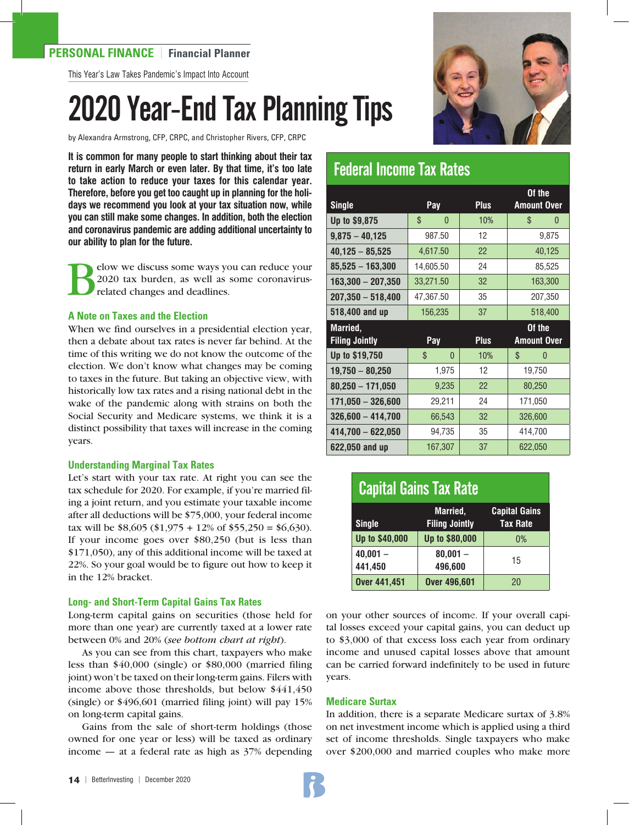#### **PERSONAL FINANCE** | **Financial Planner**

This Year's Law Takes Pandemic's Impact Into Account

# 2020 Year-End Tax Planning Tips

by Alexandra Armstrong, CFP, CRPC, and Christopher Rivers, CFP, CRPC

**It is common for many people to start thinking about their tax return in early March or even later. By that time, it's too late to take action to reduce your taxes for this calendar year. Therefore, before you get too caught up in planning for the holidays we recommend you look at your tax situation now, while you can still make some changes. In addition, both the election and coronavirus pandemic are adding additional uncertainty to our ability to plan for the future.** 

Below we discuss some ways you can reduce your 2020 tax burden, as well as some coronavirusrelated changes and deadlines.

#### **A Note on Taxes and the Election**

When we find ourselves in a presidential election year, then a debate about tax rates is never far behind. At the time of this writing we do not know the outcome of the election. We don't know what changes may be coming to taxes in the future. But taking an objective view, with historically low tax rates and a rising national debt in the wake of the pandemic along with strains on both the Social Security and Medicare systems, we think it is a distinct possibility that taxes will increase in the coming years.

#### **Understanding Marginal Tax Rates**

Let's start with your tax rate. At right you can see the tax schedule for 2020. For example, if you're married filing a joint return, and you estimate your taxable income after all deductions will be \$75,000, your federal income tax will be \$8,605 (\$1,975 + 12% of \$55,250 = \$6,630). If your income goes over \$80,250 (but is less than \$171,050), any of this additional income will be taxed at 22%. So your goal would be to figure out how to keep it in the 12% bracket.

#### **Long- and Short-Term Capital Gains Tax Rates**

Long-term capital gains on securities (those held for more than one year) are currently taxed at a lower rate between 0% and 20% (*see bottom chart at right*).

As you can see from this chart, taxpayers who make less than \$40,000 (single) or \$80,000 (married filing joint) won't be taxed on their long-term gains. Filers with income above those thresholds, but below \$441,450 (single) or \$496,601 (married filing joint) will pay 15% on long-term capital gains.

Gains from the sale of short-term holdings (those owned for one year or less) will be taxed as ordinary income  $-$  at a federal rate as high as  $37%$  depending



### Federal Income Tax Rates

|                       |                    |             | Of the             |
|-----------------------|--------------------|-------------|--------------------|
| <b>Single</b>         | Pay                | <b>Plus</b> | <b>Amount Over</b> |
| <b>Up to \$9,875</b>  | \$<br>$\mathbf{0}$ | 10%         | \$<br>0            |
| $9,875 - 40,125$      | 987.50             | 12          | 9,875              |
| $40,125 - 85,525$     | 4,617.50           | 22          | 40,125             |
| $85,525 - 163,300$    | 14,605.50          | 24          | 85,525             |
| $163,300 - 207,350$   | 33,271.50          | 32          | 163,300            |
| $207,350 - 518,400$   | 47,367.50          | 35          | 207,350            |
| 518,400 and up        | 156,235            | 37          | 518,400            |
|                       |                    |             |                    |
| Married,              |                    |             | Of the             |
| <b>Filing Jointly</b> | Pay                | <b>Plus</b> | <b>Amount Over</b> |
| <b>Up to \$19,750</b> | \$<br>$\Omega$     | 10%         | \$<br>$\Omega$     |
| $19,750 - 80,250$     | 1,975              | 12          | 19,750             |
| $80,250 - 171,050$    | 9,235              | 22          | 80,250             |
| $171,050 - 326,600$   | 29,211             | 24          | 171,050            |
| $326,600 - 414,700$   | 66,543             | 32          | 326,600            |
| $414,700 - 622,050$   | 94,735             | 35          | 414,700            |

| <b>Capital Gains Tax Rate</b> |                                   |                                         |  |  |
|-------------------------------|-----------------------------------|-----------------------------------------|--|--|
| <b>Single</b>                 | Married,<br><b>Filing Jointly</b> | <b>Capital Gains</b><br><b>Tax Rate</b> |  |  |
| Up to \$40,000                | Up to \$80,000                    | $0\%$                                   |  |  |
| $40,001 -$<br>441,450         | $80.001 -$<br>496,600             | 15                                      |  |  |
| <b>Over 441,451</b>           | <b>Over 496,601</b>               | 20                                      |  |  |

on your other sources of income. If your overall capital losses exceed your capital gains, you can deduct up to \$3,000 of that excess loss each year from ordinary income and unused capital losses above that amount can be carried forward indefinitely to be used in future years.

#### **Medicare Surtax**

In addition, there is a separate Medicare surtax of 3.8% on net investment income which is applied using a third set of income thresholds. Single taxpayers who make over \$200,000 and married couples who make more

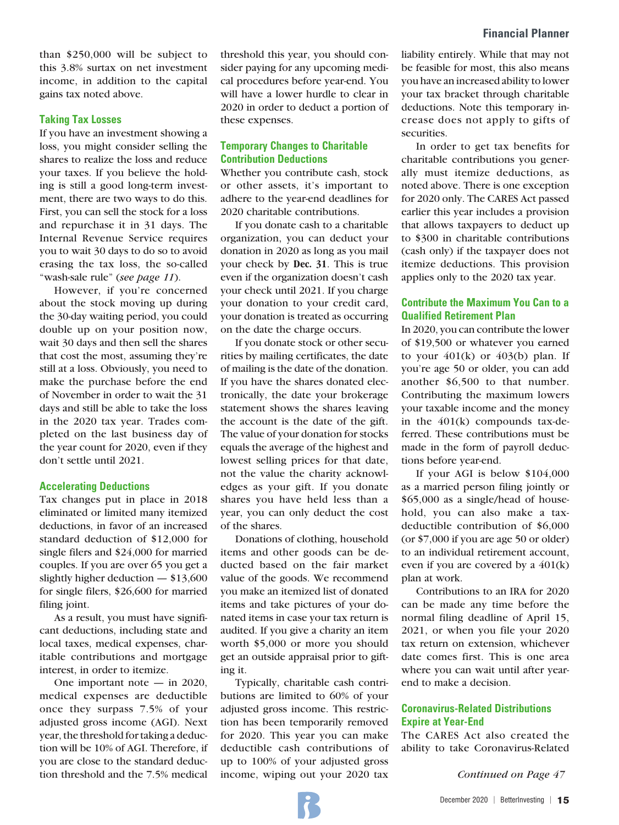than \$250,000 will be subject to this 3.8% surtax on net investment income, in addition to the capital gains tax noted above.

#### **Taking Tax Losses**

If you have an investment showing a loss, you might consider selling the shares to realize the loss and reduce your taxes. If you believe the holding is still a good long-term investment, there are two ways to do this. First, you can sell the stock for a loss and repurchase it in 31 days. The Internal Revenue Service requires you to wait 30 days to do so to avoid erasing the tax loss, the so-called "wash-sale rule" (*see page 11*).

However, if you're concerned about the stock moving up during the 30-day waiting period, you could double up on your position now, wait 30 days and then sell the shares that cost the most, assuming they're still at a loss. Obviously, you need to make the purchase before the end of November in order to wait the 31 days and still be able to take the loss in the 2020 tax year. Trades completed on the last business day of the year count for 2020, even if they don't settle until 2021.

#### **Accelerating Deductions**

Tax changes put in place in 2018 eliminated or limited many itemized deductions, in favor of an increased standard deduction of \$12,000 for single filers and \$24,000 for married couples. If you are over 65 you get a slightly higher deduction — \$13,600 for single filers, \$26,600 for married filing joint.

As a result, you must have significant deductions, including state and local taxes, medical expenses, charitable contributions and mortgage interest, in order to itemize.

One important note — in 2020, medical expenses are deductible once they surpass 7.5% of your adjusted gross income (AGI). Next year, the threshold for taking a deduction will be 10% of AGI. Therefore, if you are close to the standard deduction threshold and the 7.5% medical

threshold this year, you should consider paying for any upcoming medical procedures before year-end. You will have a lower hurdle to clear in 2020 in order to deduct a portion of these expenses.

#### **Temporary Changes to Charitable Contribution Deductions**

Whether you contribute cash, stock or other assets, it's important to adhere to the year-end deadlines for 2020 charitable contributions.

If you donate cash to a charitable organization, you can deduct your donation in 2020 as long as you mail your check by **Dec. 31**. This is true even if the organization doesn't cash your check until 2021. If you charge your donation to your credit card, your donation is treated as occurring on the date the charge occurs.

If you donate stock or other securities by mailing certificates, the date of mailing is the date of the donation. If you have the shares donated electronically, the date your brokerage statement shows the shares leaving the account is the date of the gift. The value of your donation for stocks equals the average of the highest and lowest selling prices for that date, not the value the charity acknowledges as your gift. If you donate shares you have held less than a year, you can only deduct the cost of the shares.

Donations of clothing, household items and other goods can be deducted based on the fair market value of the goods. We recommend you make an itemized list of donated items and take pictures of your donated items in case your tax return is audited. If you give a charity an item worth \$5,000 or more you should get an outside appraisal prior to gifting it.

Typically, charitable cash contributions are limited to 60% of your adjusted gross income. This restriction has been temporarily removed for 2020. This year you can make deductible cash contributions of up to 100% of your adjusted gross income, wiping out your 2020 tax

liability entirely. While that may not be feasible for most, this also means you have an increased ability to lower your tax bracket through charitable deductions. Note this temporary increase does not apply to gifts of securities.

In order to get tax benefits for charitable contributions you generally must itemize deductions, as noted above. There is one exception for 2020 only. The CARES Act passed earlier this year includes a provision that allows taxpayers to deduct up to \$300 in charitable contributions (cash only) if the taxpayer does not itemize deductions. This provision applies only to the 2020 tax year.

#### **Contribute the Maximum You Can to a Qualified Retirement Plan**

In 2020, you can contribute the lower of \$19,500 or whatever you earned to your  $401(k)$  or  $403(b)$  plan. If you're age 50 or older, you can add another \$6,500 to that number. Contributing the maximum lowers your taxable income and the money in the 401(k) compounds tax-deferred. These contributions must be made in the form of payroll deductions before year-end.

If your AGI is below \$104,000 as a married person filing jointly or \$65,000 as a single/head of household, you can also make a taxdeductible contribution of \$6,000 (or \$7,000 if you are age 50 or older) to an individual retirement account, even if you are covered by a 401(k) plan at work.

Contributions to an IRA for 2020 can be made any time before the normal filing deadline of April 15, 2021, or when you file your 2020 tax return on extension, whichever date comes first. This is one area where you can wait until after yearend to make a decision.

#### **Coronavirus-Related Distributions Expire at Year-End**

The CARES Act also created the ability to take Coronavirus-Related

*Continued on Page 47*